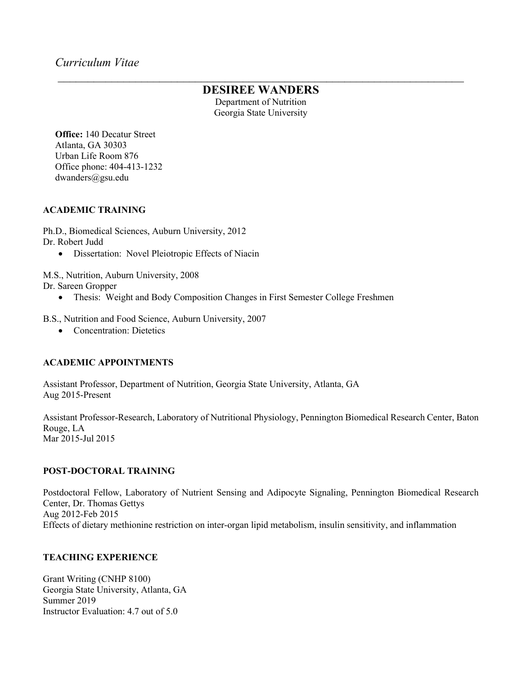# $\mathcal{L}_\text{max}$  , and the contract of the contract of the contract of the contract of the contract of the contract of the contract of the contract of the contract of the contract of the contract of the contract of the contr **DESIREE WANDERS**

Department of Nutrition Georgia State University

**Office:** 140 Decatur Street Atlanta, GA 30303 Urban Life Room 876 Office phone: 404-413-1232 dwanders@gsu.edu

### **ACADEMIC TRAINING**

Ph.D., Biomedical Sciences, Auburn University, 2012 Dr. Robert Judd

• Dissertation: Novel Pleiotropic Effects of Niacin

M.S., Nutrition, Auburn University, 2008

Dr. Sareen Gropper

- Thesis: Weight and Body Composition Changes in First Semester College Freshmen
- B.S., Nutrition and Food Science, Auburn University, 2007
	- Concentration: Dietetics

# **ACADEMIC APPOINTMENTS**

Assistant Professor, Department of Nutrition, Georgia State University, Atlanta, GA Aug 2015-Present

Assistant Professor-Research, Laboratory of Nutritional Physiology, Pennington Biomedical Research Center, Baton Rouge, LA Mar 2015-Jul 2015

# **POST-DOCTORAL TRAINING**

Postdoctoral Fellow, Laboratory of Nutrient Sensing and Adipocyte Signaling, Pennington Biomedical Research Center, Dr. Thomas Gettys Aug 2012-Feb 2015 Effects of dietary methionine restriction on inter-organ lipid metabolism, insulin sensitivity, and inflammation

# **TEACHING EXPERIENCE**

Grant Writing (CNHP 8100) Georgia State University, Atlanta, GA Summer 2019 Instructor Evaluation: 4.7 out of 5.0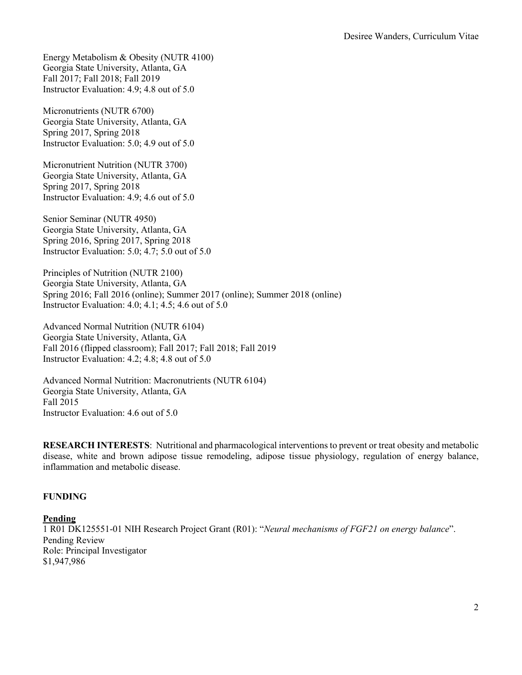Energy Metabolism & Obesity (NUTR 4100) Georgia State University, Atlanta, GA Fall 2017; Fall 2018; Fall 2019 Instructor Evaluation: 4.9; 4.8 out of 5.0

Micronutrients (NUTR 6700) Georgia State University, Atlanta, GA Spring 2017, Spring 2018 Instructor Evaluation: 5.0; 4.9 out of 5.0

Micronutrient Nutrition (NUTR 3700) Georgia State University, Atlanta, GA Spring 2017, Spring 2018 Instructor Evaluation: 4.9; 4.6 out of 5.0

Senior Seminar (NUTR 4950) Georgia State University, Atlanta, GA Spring 2016, Spring 2017, Spring 2018 Instructor Evaluation: 5.0; 4.7; 5.0 out of 5.0

Principles of Nutrition (NUTR 2100) Georgia State University, Atlanta, GA Spring 2016; Fall 2016 (online); Summer 2017 (online); Summer 2018 (online) Instructor Evaluation: 4.0; 4.1; 4.5; 4.6 out of 5.0

Advanced Normal Nutrition (NUTR 6104) Georgia State University, Atlanta, GA Fall 2016 (flipped classroom); Fall 2017; Fall 2018; Fall 2019 Instructor Evaluation: 4.2; 4.8; 4.8 out of 5.0

Advanced Normal Nutrition: Macronutrients (NUTR 6104) Georgia State University, Atlanta, GA Fall 2015 Instructor Evaluation: 4.6 out of 5.0

**RESEARCH INTERESTS**: Nutritional and pharmacological interventions to prevent or treat obesity and metabolic disease, white and brown adipose tissue remodeling, adipose tissue physiology, regulation of energy balance, inflammation and metabolic disease.

#### **FUNDING**

#### **Pending**

1 R01 DK125551-01 NIH Research Project Grant (R01): "*Neural mechanisms of FGF21 on energy balance*". Pending Review Role: Principal Investigator \$1,947,986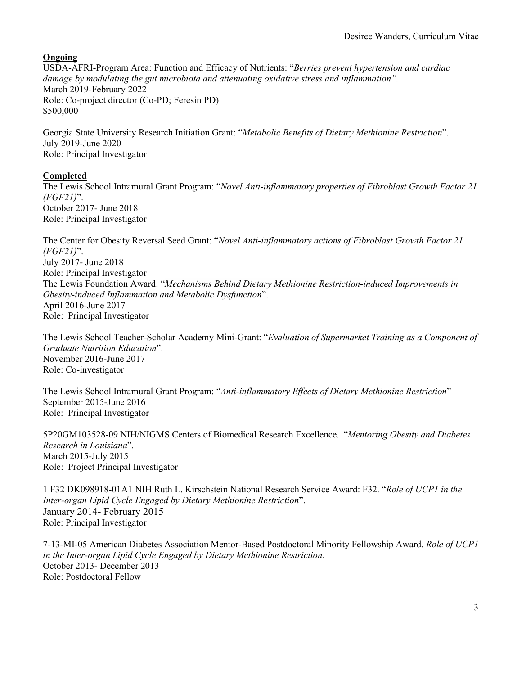**Ongoing**

USDA-AFRI-Program Area: Function and Efficacy of Nutrients: "*Berries prevent hypertension and cardiac damage by modulating the gut microbiota and attenuating oxidative stress and inflammation".* March 2019-February 2022 Role: Co-project director (Co-PD; Feresin PD) \$500,000

Georgia State University Research Initiation Grant: "*Metabolic Benefits of Dietary Methionine Restriction*". July 2019-June 2020 Role: Principal Investigator

# **Completed**

The Lewis School Intramural Grant Program: "*Novel Anti-inflammatory properties of Fibroblast Growth Factor 21 (FGF21)*". October 2017- June 2018 Role: Principal Investigator

The Center for Obesity Reversal Seed Grant: "*Novel Anti-inflammatory actions of Fibroblast Growth Factor 21 (FGF21)*". July 2017- June 2018 Role: Principal Investigator The Lewis Foundation Award: "*Mechanisms Behind Dietary Methionine Restriction-induced Improvements in Obesity-induced Inflammation and Metabolic Dysfunction*". April 2016-June 2017 Role: Principal Investigator

The Lewis School Teacher-Scholar Academy Mini-Grant: "*Evaluation of Supermarket Training as a Component of Graduate Nutrition Education*". November 2016-June 2017 Role: Co-investigator

The Lewis School Intramural Grant Program: "*Anti-inflammatory Effects of Dietary Methionine Restriction*" September 2015-June 2016 Role: Principal Investigator

5P20GM103528-09 NIH/NIGMS Centers of Biomedical Research Excellence. "*Mentoring Obesity and Diabetes Research in Louisiana*". March 2015-July 2015 Role: Project Principal Investigator

1 F32 DK098918-01A1 NIH Ruth L. Kirschstein National Research Service Award: F32. "*Role of UCP1 in the Inter-organ Lipid Cycle Engaged by Dietary Methionine Restriction*". January 2014- February 2015 Role: Principal Investigator

7-13-MI-05 American Diabetes Association Mentor-Based Postdoctoral Minority Fellowship Award. *Role of UCP1 in the Inter-organ Lipid Cycle Engaged by Dietary Methionine Restriction*. October 2013- December 2013 Role: Postdoctoral Fellow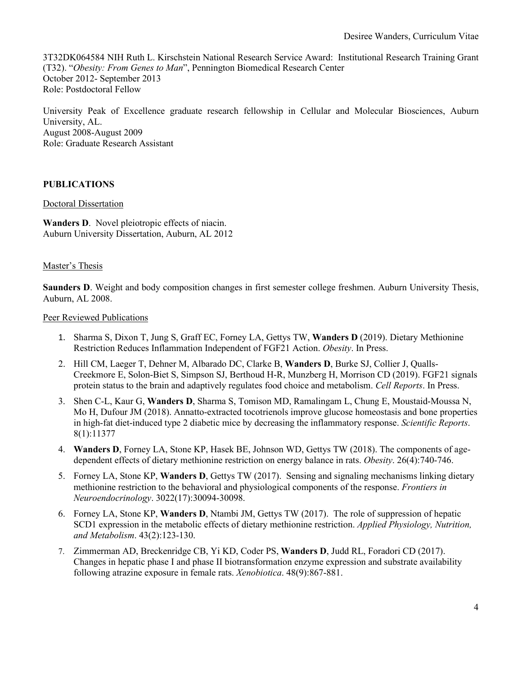3T32DK064584 NIH Ruth L. Kirschstein National Research Service Award: Institutional Research Training Grant (T32). "*Obesity: From Genes to Man*", Pennington Biomedical Research Center October 2012- September 2013 Role: Postdoctoral Fellow

University Peak of Excellence graduate research fellowship in Cellular and Molecular Biosciences, Auburn University, AL. August 2008-August 2009 Role: Graduate Research Assistant

# **PUBLICATIONS**

### Doctoral Dissertation

**Wanders D**. Novel pleiotropic effects of niacin. Auburn University Dissertation, Auburn, AL 2012

### Master's Thesis

**Saunders D**. Weight and body composition changes in first semester college freshmen. Auburn University Thesis, Auburn, AL 2008.

#### Peer Reviewed Publications

- 1. Sharma S, Dixon T, Jung S, Graff EC, Forney LA, Gettys TW, **Wanders D** (2019). Dietary Methionine Restriction Reduces Inflammation Independent of FGF21 Action. *Obesity*. In Press.
- 2. Hill CM, Laeger T, Dehner M, Albarado DC, Clarke B, **Wanders D**, Burke SJ, Collier J, Qualls-Creekmore E, Solon-Biet S, Simpson SJ, Berthoud H-R, Munzberg H, Morrison CD (2019). FGF21 signals protein status to the brain and adaptively regulates food choice and metabolism. *Cell Reports*. In Press.
- 3. Shen C-L, Kaur G, **Wanders D**, Sharma S, Tomison MD, Ramalingam L, Chung E, Moustaid-Moussa N, Mo H, Dufour JM (2018). Annatto-extracted tocotrienols improve glucose homeostasis and bone properties in high-fat diet-induced type 2 diabetic mice by decreasing the inflammatory response. *Scientific Reports*. 8(1):11377
- 4. **Wanders D**, Forney LA, Stone KP, Hasek BE, Johnson WD, Gettys TW (2018). The components of agedependent effects of dietary methionine restriction on energy balance in rats. *Obesity*. 26(4):740-746.
- 5. Forney LA, Stone KP, **Wanders D**, Gettys TW (2017). Sensing and signaling mechanisms linking dietary methionine restriction to the behavioral and physiological components of the response. *Frontiers in Neuroendocrinology*. 3022(17):30094-30098.
- 6. Forney LA, Stone KP, **Wanders D**, Ntambi JM, Gettys TW (2017). The role of suppression of hepatic SCD1 expression in the metabolic effects of dietary methionine restriction. *Applied Physiology, Nutrition, and Metabolism*. 43(2):123-130.
- 7. Zimmerman AD, Breckenridge CB, Yi KD, Coder PS, **Wanders D**, Judd RL, Foradori CD (2017). Changes in hepatic phase I and phase II biotransformation enzyme expression and substrate availability following atrazine exposure in female rats. *Xenobiotica*. 48(9):867-881.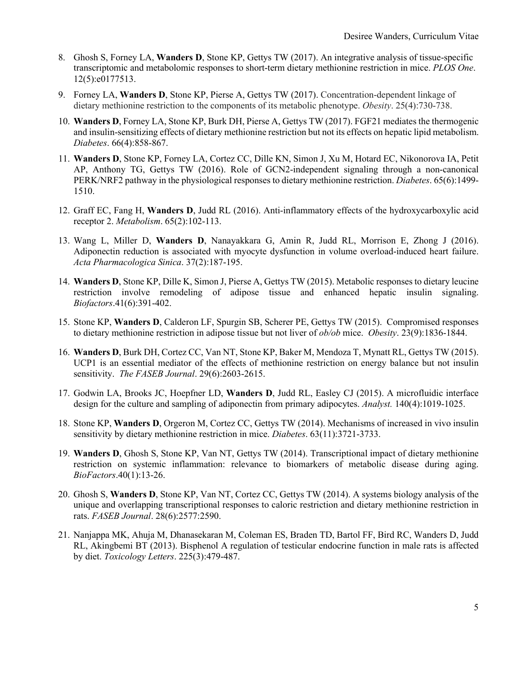- 8. Ghosh S, Forney LA, **Wanders D**, Stone KP, Gettys TW (2017). An integrative analysis of tissue-specific transcriptomic and metabolomic responses to short-term dietary methionine restriction in mice. *PLOS One*. 12(5):e0177513.
- 9. Forney LA, **Wanders D**, Stone KP, Pierse A, Gettys TW (2017). Concentration-dependent linkage of dietary methionine restriction to the components of its metabolic phenotype. *Obesity*. 25(4):730-738.
- 10. **Wanders D**, Forney LA, Stone KP, Burk DH, Pierse A, Gettys TW (2017). FGF21 mediates the thermogenic and insulin-sensitizing effects of dietary methionine restriction but not its effects on hepatic lipid metabolism. *Diabetes*. 66(4):858-867.
- 11. **Wanders D**, Stone KP, Forney LA, Cortez CC, Dille KN, Simon J, Xu M, Hotard EC, Nikonorova IA, Petit AP, Anthony TG, Gettys TW (2016). Role of GCN2-independent signaling through a non-canonical PERK/NRF2 pathway in the physiological responses to dietary methionine restriction. *Diabetes*. 65(6):1499- 1510.
- 12. Graff EC, Fang H, **Wanders D**, Judd RL (2016). Anti-inflammatory effects of the hydroxycarboxylic acid receptor 2. *Metabolism*. 65(2):102-113.
- 13. Wang L, Miller D, **Wanders D**, Nanayakkara G, Amin R, Judd RL, Morrison E, Zhong J (2016). Adiponectin reduction is associated with myocyte dysfunction in volume overload-induced heart failure. *Acta Pharmacologica Sinica*. 37(2):187-195.
- 14. **Wanders D**, Stone KP, Dille K, Simon J, Pierse A, Gettys TW (2015). Metabolic responses to dietary leucine restriction involve remodeling of adipose tissue and enhanced hepatic insulin signaling. *Biofactors*.41(6):391-402.
- 15. Stone KP, **Wanders D**, Calderon LF, Spurgin SB, Scherer PE, Gettys TW (2015). Compromised responses to dietary methionine restriction in adipose tissue but not liver of *ob/ob* mice. *Obesity*. 23(9):1836-1844.
- 16. **Wanders D**, Burk DH, Cortez CC, Van NT, Stone KP, Baker M, Mendoza T, Mynatt RL, Gettys TW (2015). UCP1 is an essential mediator of the effects of methionine restriction on energy balance but not insulin sensitivity. *The FASEB Journal*. 29(6):2603-2615.
- 17. Godwin LA, Brooks JC, Hoepfner LD, **Wanders D**, Judd RL, Easley CJ (2015). A microfluidic interface design for the culture and sampling of adiponectin from primary adipocytes. *Analyst.* 140(4):1019-1025.
- 18. Stone KP, **Wanders D**, Orgeron M, Cortez CC, Gettys TW (2014). Mechanisms of increased in vivo insulin sensitivity by dietary methionine restriction in mice. *Diabetes*. 63(11):3721-3733.
- 19. **Wanders D**, Ghosh S, Stone KP, Van NT, Gettys TW (2014). Transcriptional impact of dietary methionine restriction on systemic inflammation: relevance to biomarkers of metabolic disease during aging. *BioFactors*.40(1):13-26.
- 20. Ghosh S, **Wanders D**, Stone KP, Van NT, Cortez CC, Gettys TW (2014). A systems biology analysis of the unique and overlapping transcriptional responses to caloric restriction and dietary methionine restriction in rats. *FASEB Journal*. 28(6):2577:2590.
- 21. Nanjappa MK, Ahuja M, Dhanasekaran M, Coleman ES, Braden TD, Bartol FF, Bird RC, Wanders D, Judd RL, Akingbemi BT (2013). Bisphenol A regulation of testicular endocrine function in male rats is affected by diet. *Toxicology Letters*. 225(3):479-487.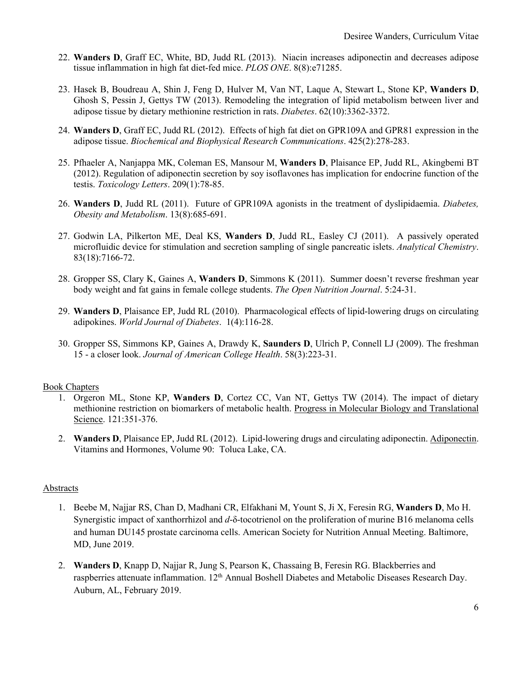- 22. **Wanders D**, Graff EC, White, BD, Judd RL (2013). Niacin increases adiponectin and decreases adipose tissue inflammation in high fat diet-fed mice. *PLOS ONE*. 8(8):e71285.
- 23. Hasek B, Boudreau A, Shin J, Feng D, Hulver M, Van NT, Laque A, Stewart L, Stone KP, **Wanders D**, Ghosh S, Pessin J, Gettys TW (2013). Remodeling the integration of lipid metabolism between liver and adipose tissue by dietary methionine restriction in rats. *Diabetes*. 62(10):3362-3372.
- 24. **Wanders D**, Graff EC, Judd RL (2012). Effects of high fat diet on GPR109A and GPR81 expression in the adipose tissue. *Biochemical and Biophysical Research Communications*. 425(2):278-283.
- 25. Pfhaeler A, Nanjappa MK, Coleman ES, Mansour M, **Wanders D**, Plaisance EP, Judd RL, Akingbemi BT (2012). Regulation of adiponectin secretion by soy isoflavones has implication for endocrine function of the testis. *Toxicology Letters*. 209(1):78-85.
- 26. **Wanders D**, Judd RL (2011). Future of GPR109A agonists in the treatment of dyslipidaemia. *Diabetes, Obesity and Metabolism*. 13(8):685-691.
- 27. Godwin LA, Pilkerton ME, Deal KS, **Wanders D**, Judd RL, Easley CJ (2011). A passively operated microfluidic device for stimulation and secretion sampling of single pancreatic islets. *Analytical Chemistry*. 83(18):7166-72.
- 28. Gropper SS, Clary K, Gaines A, **Wanders D**, Simmons K (2011). Summer doesn't reverse freshman year body weight and fat gains in female college students. *The Open Nutrition Journal*. 5:24-31.
- 29. **Wanders D**, Plaisance EP, Judd RL (2010). Pharmacological effects of lipid-lowering drugs on circulating adipokines. *World Journal of Diabetes*. 1(4):116-28.
- 30. Gropper SS, Simmons KP, Gaines A, Drawdy K, **Saunders D**, Ulrich P, Connell LJ (2009). The freshman 15 - a closer look. *Journal of American College Health*. 58(3):223-31.

#### Book Chapters

- 1. Orgeron ML, Stone KP, **Wanders D**, Cortez CC, Van NT, Gettys TW (2014). The impact of dietary methionine restriction on biomarkers of metabolic health. Progress in Molecular Biology and Translational Science. 121:351-376.
- 2. **Wanders D**, Plaisance EP, Judd RL (2012). Lipid-lowering drugs and circulating adiponectin. Adiponectin. Vitamins and Hormones, Volume 90: Toluca Lake, CA.

#### **Abstracts**

- 1. Beebe M, Najjar RS, Chan D, Madhani CR, Elfakhani M, Yount S, Ji X, Feresin RG, **Wanders D**, Mo H. Synergistic impact of xanthorrhizol and *d*-δ-tocotrienol on the proliferation of murine B16 melanoma cells and human DU145 prostate carcinoma cells. American Society for Nutrition Annual Meeting. Baltimore, MD, June 2019.
- 2. **Wanders D**, Knapp D, Najjar R, Jung S, Pearson K, Chassaing B, Feresin RG. Blackberries and raspberries attenuate inflammation. 12<sup>th</sup> Annual Boshell Diabetes and Metabolic Diseases Research Day. Auburn, AL, February 2019.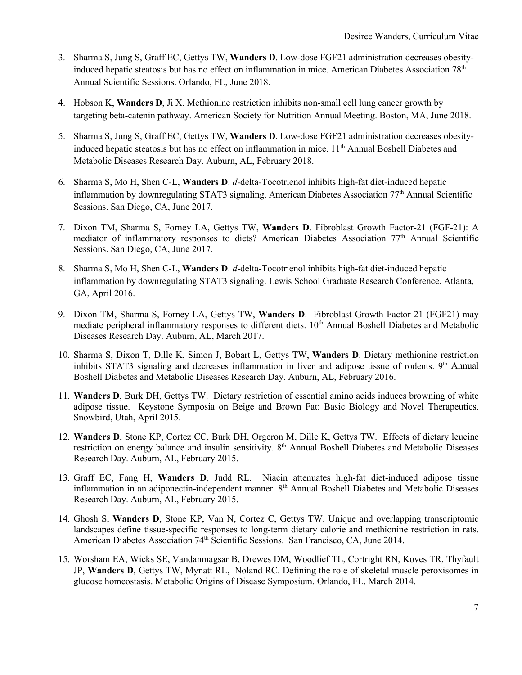- 3. Sharma S, Jung S, Graff EC, Gettys TW, **Wanders D**. Low-dose FGF21 administration decreases obesityinduced hepatic steatosis but has no effect on inflammation in mice. American Diabetes Association 78<sup>th</sup> Annual Scientific Sessions. Orlando, FL, June 2018.
- 4. Hobson K, **Wanders D**, Ji X. Methionine restriction inhibits non-small cell lung cancer growth by targeting beta-catenin pathway. American Society for Nutrition Annual Meeting. Boston, MA, June 2018.
- 5. Sharma S, Jung S, Graff EC, Gettys TW, **Wanders D**. Low-dose FGF21 administration decreases obesityinduced hepatic steatosis but has no effect on inflammation in mice. 11<sup>th</sup> Annual Boshell Diabetes and Metabolic Diseases Research Day. Auburn, AL, February 2018.
- 6. Sharma S, Mo H, Shen C-L, **Wanders D**. *d*-delta-Tocotrienol inhibits high-fat diet-induced hepatic inflammation by downregulating STAT3 signaling. American Diabetes Association 77th Annual Scientific Sessions. San Diego, CA, June 2017.
- 7. Dixon TM, Sharma S, Forney LA, Gettys TW, **Wanders D**. Fibroblast Growth Factor-21 (FGF-21): A mediator of inflammatory responses to diets? American Diabetes Association 77th Annual Scientific Sessions. San Diego, CA, June 2017.
- 8. Sharma S, Mo H, Shen C-L, **Wanders D**. *d*-delta-Tocotrienol inhibits high-fat diet-induced hepatic inflammation by downregulating STAT3 signaling. Lewis School Graduate Research Conference. Atlanta, GA, April 2016.
- 9. Dixon TM, Sharma S, Forney LA, Gettys TW, **Wanders D**. Fibroblast Growth Factor 21 (FGF21) may mediate peripheral inflammatory responses to different diets. 10<sup>th</sup> Annual Boshell Diabetes and Metabolic Diseases Research Day. Auburn, AL, March 2017.
- 10. Sharma S, Dixon T, Dille K, Simon J, Bobart L, Gettys TW, **Wanders D**. Dietary methionine restriction inhibits STAT3 signaling and decreases inflammation in liver and adipose tissue of rodents. 9<sup>th</sup> Annual Boshell Diabetes and Metabolic Diseases Research Day. Auburn, AL, February 2016.
- 11. **Wanders D**, Burk DH, Gettys TW. Dietary restriction of essential amino acids induces browning of white adipose tissue. Keystone Symposia on Beige and Brown Fat: Basic Biology and Novel Therapeutics. Snowbird, Utah, April 2015.
- 12. **Wanders D**, Stone KP, Cortez CC, Burk DH, Orgeron M, Dille K, Gettys TW. Effects of dietary leucine restriction on energy balance and insulin sensitivity. 8<sup>th</sup> Annual Boshell Diabetes and Metabolic Diseases Research Day. Auburn, AL, February 2015.
- 13. Graff EC, Fang H, **Wanders D**, Judd RL. Niacin attenuates high-fat diet-induced adipose tissue inflammation in an adiponectin-independent manner. 8<sup>th</sup> Annual Boshell Diabetes and Metabolic Diseases Research Day. Auburn, AL, February 2015.
- 14. Ghosh S, **Wanders D**, Stone KP, Van N, Cortez C, Gettys TW. Unique and overlapping transcriptomic landscapes define tissue-specific responses to long-term dietary calorie and methionine restriction in rats. American Diabetes Association 74<sup>th</sup> Scientific Sessions. San Francisco, CA, June 2014.
- 15. Worsham EA, Wicks SE, Vandanmagsar B, Drewes DM, Woodlief TL, Cortright RN, Koves TR, Thyfault JP, **Wanders D**, Gettys TW, Mynatt RL, Noland RC. Defining the role of skeletal muscle peroxisomes in glucose homeostasis. Metabolic Origins of Disease Symposium. Orlando, FL, March 2014.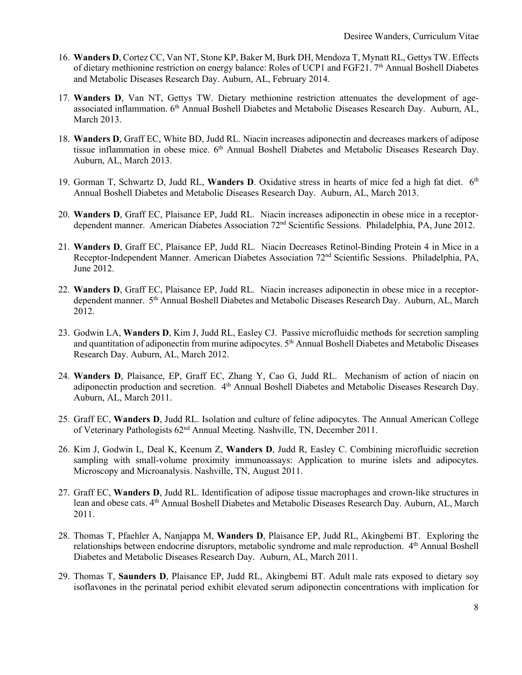- 16. **Wanders D**, Cortez CC, Van NT, Stone KP, Baker M, Burk DH, Mendoza T, Mynatt RL, Gettys TW. Effects of dietary methionine restriction on energy balance: Roles of UCP1 and FGF21. 7th Annual Boshell Diabetes and Metabolic Diseases Research Day. Auburn, AL, February 2014.
- 17. **Wanders D**, Van NT, Gettys TW. Dietary methionine restriction attenuates the development of ageassociated inflammation. 6th Annual Boshell Diabetes and Metabolic Diseases Research Day. Auburn, AL, March 2013.
- 18. **Wanders D**, Graff EC, White BD, Judd RL. Niacin increases adiponectin and decreases markers of adipose tissue inflammation in obese mice. 6<sup>th</sup> Annual Boshell Diabetes and Metabolic Diseases Research Day. Auburn, AL, March 2013.
- 19. Gorman T, Schwartz D, Judd RL, Wanders D. Oxidative stress in hearts of mice fed a high fat diet. 6<sup>th</sup> Annual Boshell Diabetes and Metabolic Diseases Research Day. Auburn, AL, March 2013.
- 20. **Wanders D**, Graff EC, Plaisance EP, Judd RL. Niacin increases adiponectin in obese mice in a receptordependent manner. American Diabetes Association 72nd Scientific Sessions. Philadelphia, PA, June 2012.
- 21. **Wanders D**, Graff EC, Plaisance EP, Judd RL. Niacin Decreases Retinol-Binding Protein 4 in Mice in a Receptor-Independent Manner. American Diabetes Association 72nd Scientific Sessions. Philadelphia, PA, June 2012.
- 22. **Wanders D**, Graff EC, Plaisance EP, Judd RL. Niacin increases adiponectin in obese mice in a receptordependent manner. 5th Annual Boshell Diabetes and Metabolic Diseases Research Day. Auburn, AL, March 2012.
- 23. Godwin LA, **Wanders D**, Kim J, Judd RL, Easley CJ. Passive microfluidic methods for secretion sampling and quantitation of adiponectin from murine adipocytes. 5<sup>th</sup> Annual Boshell Diabetes and Metabolic Diseases Research Day. Auburn, AL, March 2012.
- 24. **Wanders D**, Plaisance, EP, Graff EC, Zhang Y, Cao G, Judd RL. Mechanism of action of niacin on adiponectin production and secretion. 4th Annual Boshell Diabetes and Metabolic Diseases Research Day. Auburn, AL, March 2011.
- 25. Graff EC, **Wanders D**, Judd RL. Isolation and culture of feline adipocytes. The Annual American College of Veterinary Pathologists 62nd Annual Meeting. Nashville, TN, December 2011.
- 26. Kim J, Godwin L, Deal K, Keenum Z, **Wanders D**, Judd R, Easley C. Combining microfluidic secretion sampling with small-volume proximity immunoassays: Application to murine islets and adipocytes. Microscopy and Microanalysis. Nashville, TN, August 2011.
- 27. Graff EC, **Wanders D**, Judd RL. Identification of adipose tissue macrophages and crown-like structures in lean and obese cats.  $4<sup>th</sup>$  Annual Boshell Diabetes and Metabolic Diseases Research Day. Auburn, AL, March 2011.
- 28. Thomas T, Pfaehler A, Nanjappa M, **Wanders D**, Plaisance EP, Judd RL, Akingbemi BT. Exploring the relationships between endocrine disruptors, metabolic syndrome and male reproduction. 4<sup>th</sup> Annual Boshell Diabetes and Metabolic Diseases Research Day. Auburn, AL, March 2011.
- 29. Thomas T, **Saunders D**, Plaisance EP, Judd RL, Akingbemi BT. Adult male rats exposed to dietary soy isoflavones in the perinatal period exhibit elevated serum adiponectin concentrations with implication for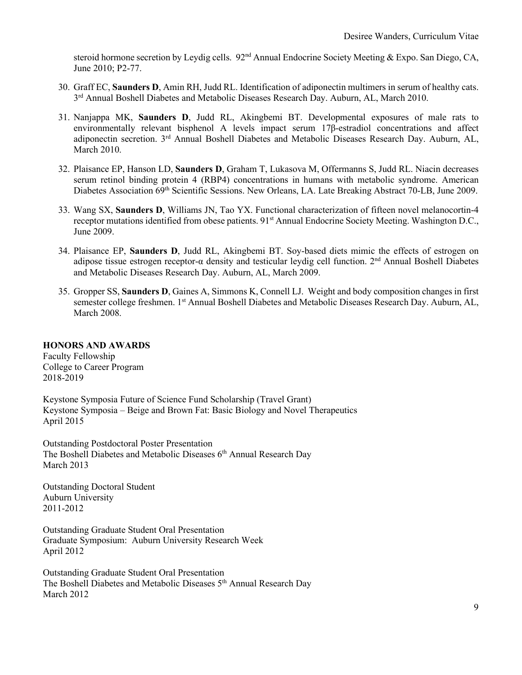steroid hormone secretion by Leydig cells. 92<sup>nd</sup> Annual Endocrine Society Meeting & Expo. San Diego, CA, June 2010; P2-77.

- 30. Graff EC, **Saunders D**, Amin RH, Judd RL. Identification of adiponectin multimers in serum of healthy cats.  $3<sup>rd</sup>$  Annual Boshell Diabetes and Metabolic Diseases Research Day. Auburn, AL, March 2010.
- 31. Nanjappa MK, **Saunders D**, Judd RL, Akingbemi BT. Developmental exposures of male rats to environmentally relevant bisphenol A levels impact serum 17β-estradiol concentrations and affect adiponectin secretion. 3rd Annual Boshell Diabetes and Metabolic Diseases Research Day. Auburn, AL, March 2010.
- 32. Plaisance EP, Hanson LD, **Saunders D**, Graham T, Lukasova M, Offermanns S, Judd RL. Niacin decreases serum retinol binding protein 4 (RBP4) concentrations in humans with metabolic syndrome. American Diabetes Association 69<sup>th</sup> Scientific Sessions. New Orleans, LA. Late Breaking Abstract 70-LB, June 2009.
- 33. Wang SX, **Saunders D**, Williams JN, Tao YX. Functional characterization of fifteen novel melanocortin-4 receptor mutations identified from obese patients. 91<sup>st</sup> Annual Endocrine Society Meeting. Washington D.C., June 2009.
- 34. Plaisance EP, **Saunders D**, Judd RL, Akingbemi BT. Soy-based diets mimic the effects of estrogen on adipose tissue estrogen receptor-α density and testicular leydig cell function. 2nd Annual Boshell Diabetes and Metabolic Diseases Research Day. Auburn, AL, March 2009.
- 35. Gropper SS, **Saunders D**, Gaines A, Simmons K, Connell LJ. Weight and body composition changes in first semester college freshmen. 1<sup>st</sup> Annual Boshell Diabetes and Metabolic Diseases Research Day. Auburn, AL, March 2008.

#### **HONORS AND AWARDS**

Faculty Fellowship College to Career Program 2018-2019

Keystone Symposia Future of Science Fund Scholarship (Travel Grant) Keystone Symposia – Beige and Brown Fat: Basic Biology and Novel Therapeutics April 2015

Outstanding Postdoctoral Poster Presentation The Boshell Diabetes and Metabolic Diseases 6<sup>th</sup> Annual Research Day March 2013

Outstanding Doctoral Student Auburn University 2011-2012

Outstanding Graduate Student Oral Presentation Graduate Symposium: Auburn University Research Week April 2012

Outstanding Graduate Student Oral Presentation The Boshell Diabetes and Metabolic Diseases 5<sup>th</sup> Annual Research Day March 2012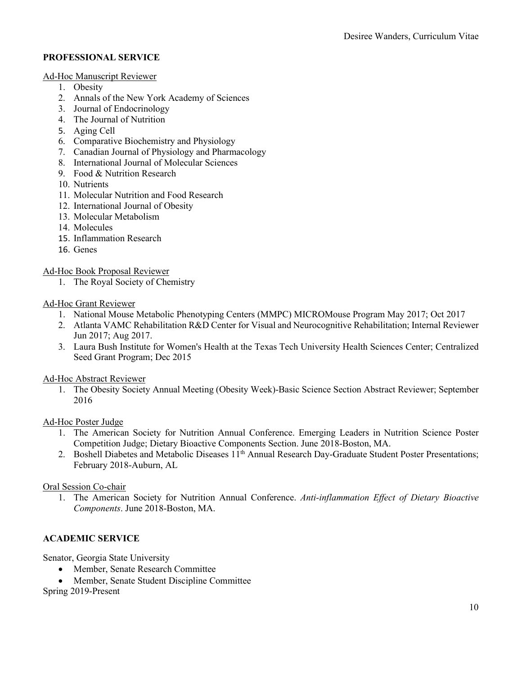#### **PROFESSIONAL SERVICE**

#### Ad-Hoc Manuscript Reviewer

- 1. Obesity
- 2. Annals of the New York Academy of Sciences
- 3. Journal of Endocrinology
- 4. The Journal of Nutrition
- 5. Aging Cell
- 6. Comparative Biochemistry and Physiology
- 7. Canadian Journal of Physiology and Pharmacology
- 8. International Journal of Molecular Sciences
- 9. Food & Nutrition Research
- 10. Nutrients
- 11. Molecular Nutrition and Food Research
- 12. International Journal of Obesity
- 13. Molecular Metabolism
- 14. Molecules
- 15. Inflammation Research
- 16. Genes

Ad-Hoc Book Proposal Reviewer

1. The Royal Society of Chemistry

#### Ad-Hoc Grant Reviewer

- 1. National Mouse Metabolic Phenotyping Centers (MMPC) MICROMouse Program May 2017; Oct 2017
- 2. Atlanta VAMC Rehabilitation R&D Center for Visual and Neurocognitive Rehabilitation; Internal Reviewer Jun 2017; Aug 2017.
- 3. Laura Bush Institute for Women's Health at the Texas Tech University Health Sciences Center; Centralized Seed Grant Program; Dec 2015

Ad-Hoc Abstract Reviewer

1. The Obesity Society Annual Meeting (Obesity Week)-Basic Science Section Abstract Reviewer; September 2016

Ad-Hoc Poster Judge

- 1. The American Society for Nutrition Annual Conference. Emerging Leaders in Nutrition Science Poster Competition Judge; Dietary Bioactive Components Section. June 2018-Boston, MA.
- 2. Boshell Diabetes and Metabolic Diseases 11<sup>th</sup> Annual Research Day-Graduate Student Poster Presentations; February 2018-Auburn, AL

# Oral Session Co-chair

1. The American Society for Nutrition Annual Conference. *Anti-inflammation Effect of Dietary Bioactive Components*. June 2018-Boston, MA.

# **ACADEMIC SERVICE**

Senator, Georgia State University

- Member, Senate Research Committee
- Member, Senate Student Discipline Committee

Spring 2019-Present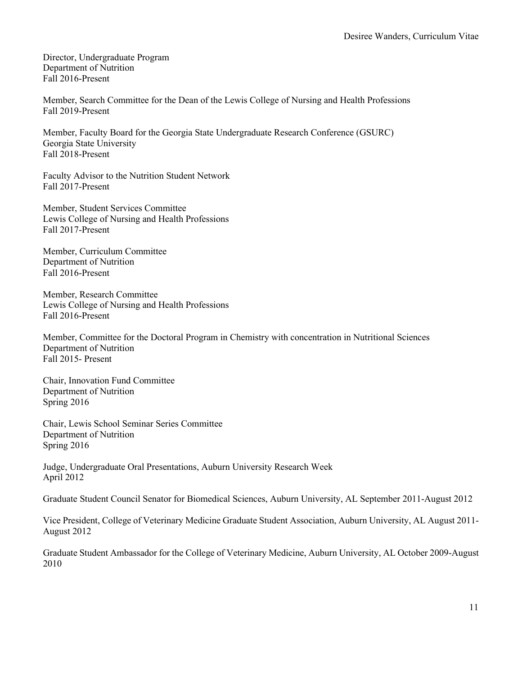Director, Undergraduate Program Department of Nutrition Fall 2016-Present

Member, Search Committee for the Dean of the Lewis College of Nursing and Health Professions Fall 2019-Present

Member, Faculty Board for the Georgia State Undergraduate Research Conference (GSURC) Georgia State University Fall 2018-Present

Faculty Advisor to the Nutrition Student Network Fall 2017-Present

Member, Student Services Committee Lewis College of Nursing and Health Professions Fall 2017-Present

Member, Curriculum Committee Department of Nutrition Fall 2016-Present

Member, Research Committee Lewis College of Nursing and Health Professions Fall 2016-Present

Member, Committee for the Doctoral Program in Chemistry with concentration in Nutritional Sciences Department of Nutrition Fall 2015- Present

Chair, Innovation Fund Committee Department of Nutrition Spring 2016

Chair, Lewis School Seminar Series Committee Department of Nutrition Spring 2016

Judge, Undergraduate Oral Presentations, Auburn University Research Week April 2012

Graduate Student Council Senator for Biomedical Sciences, Auburn University, AL September 2011-August 2012

Vice President, College of Veterinary Medicine Graduate Student Association, Auburn University, AL August 2011- August 2012

Graduate Student Ambassador for the College of Veterinary Medicine, Auburn University, AL October 2009-August 2010